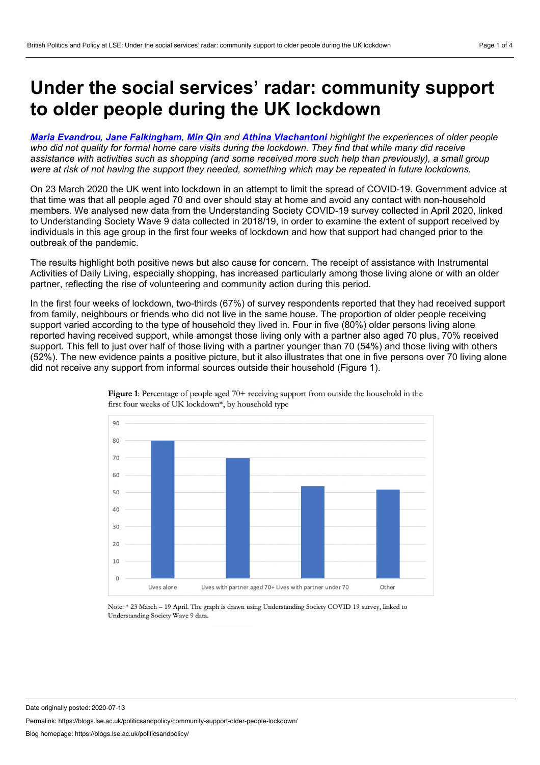## <span id="page-0-0"></span>**Under the social services' radar: community support to older people during the UK lockdown**

*Maria [Evandrou](#page-0-0), Jane [Falkingham](#page-0-0), [Min](#page-0-0) Qin and Athina [Vlachantoni](#page-0-0) highlight the experiences of older people* who did not quality for formal home care visits during the lockdown. They find that while many did receive assistance with activities such as shopping (and some received more such help than previously), a small group were at risk of not having the support they needed, something which may be repeated in future lockdowns.

On 23 March 2020 the UK went into lockdown in an attempt to limit the spread of COVID-19. Government advice at that time was that all people aged 70 and over should stay at home and avoid any contact with non-household members. We analysed new data from the Understanding Society COVID-19 survey collected in April 2020, linked to Understanding Society Wave 9 data collected in 2018/19, in order to examine the extent of support received by individuals in this age group in the first four weeks of lockdown and how that support had changed prior to the outbreak of the pandemic.

The results highlight both positive news but also cause for concern. The receipt of assistance with Instrumental Activities of Daily Living, especially shopping, has increased particularly among those living alone or with an older partner, reflecting the rise of volunteering and community action during this period.

In the first four weeks of lockdown, two-thirds (67%) of survey respondents reported that they had received support from family, neighbours or friends who did not live in the same house. The proportion of older people receiving support varied according to the type of household they lived in. Four in five (80%) older persons living alone reported having received support, while amongst those living only with a partner also aged 70 plus, 70% received support. This fell to just over half of those living with a partner younger than 70 (54%) and those living with others (52%). The new evidence paints a positive picture, but it also illustrates that one in five persons over 70 living alone did not receive any support from informal sources outside their household (Figure 1).



Figure 1: Percentage of people aged 70+ receiving support from outside the household in the first four weeks of UK lockdown\*, by household type

Note: \* 23 March - 19 April. The graph is drawn using Understanding Society COVID 19 survey, linked to Understanding Society Wave 9 data.

Date originally posted: 2020-07-13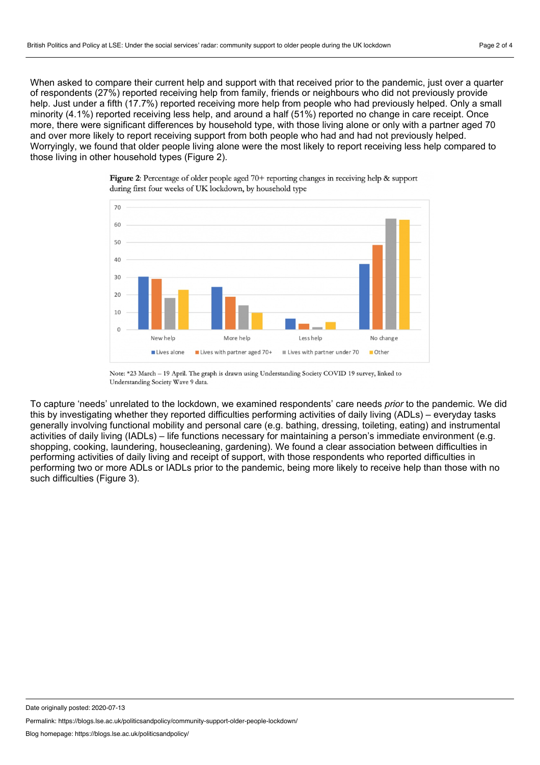When asked to compare their current help and support with that received prior to the pandemic, just over a quarter of respondents (27%) reported receiving help from family, friends or neighbours who did not previously provide help. Just under a fifth (17.7%) reported receiving more help from people who had previously helped. Only a small minority (4.1%) reported receiving less help, and around a half (51%) reported no change in care receipt. Once more, there were significant differences by household type, with those living alone or only with a partner aged 70 and over more likely to report receiving support from both people who had and had not previously helped. Worryingly, we found that older people living alone were the most likely to report receiving less help compared to those living in other household types (Figure 2).





To capture 'needs' unrelated to the lockdown, we examined respondents' care needs *prior* to the pandemic. We did this by investigating whether they reported difficulties performing activities of daily living (ADLs) – everyday tasks generally involving functional mobility and personal care (e.g. bathing, dressing, toileting, eating) and instrumental activities of daily living (IADLs) – life functions necessary for maintaining a person's immediate environment (e.g. shopping, cooking, laundering, housecleaning, gardening). We found a clear association between difficulties in performing activities of daily living and receipt of support, with those respondents who reported difficulties in performing two or more ADLs or IADLs prior to the pandemic, being more likely to receive help than those with no such difficulties (Figure 3).

Date originally posted: 2020-07-13

Note: \*23 March - 19 April. The graph is drawn using Understanding Society COVID 19 survey, linked to Understanding Society Wave 9 data.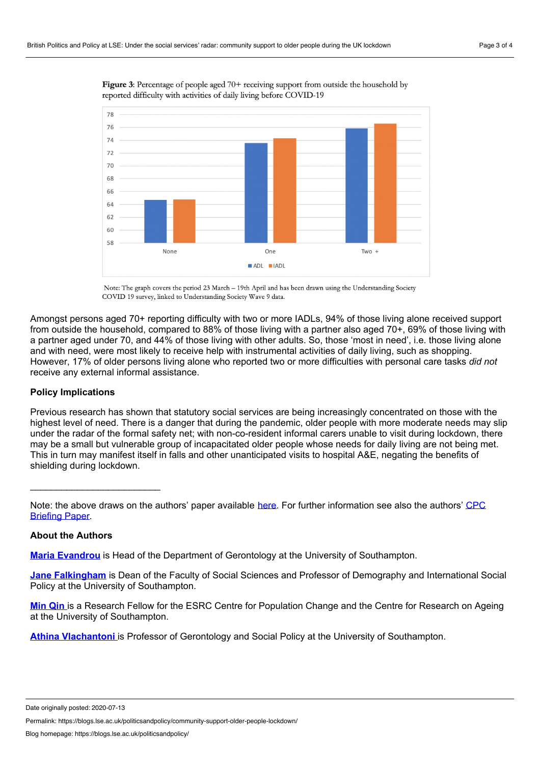



Note: The graph covers the period 23 March - 19th April and has been drawn using the Understanding Society COVID 19 survey, linked to Understanding Society Wave 9 data.

Amongst persons aged 70+ reporting difficulty with two or more IADLs, 94% of those living alone received support from outside the household, compared to 88% of those living with a partner also aged 70+, 69% of those living with a partner aged under 70, and 44% of those living with other adults. So, those 'most in need', i.e. those living alone and with need, were most likely to receive help with instrumental activities of daily living, such as shopping. However, 17% of older persons living alone who reported two or more difficulties with personal care tasks *did not* receive any external informal assistance.

## **Policy Implications**

Previous research has shown that statutory social services are being increasingly concentrated on those with the highest level of need. There is a danger that during the pandemic, older people with more moderate needs may slip under the radar of the formal safety net; with non-co-resident informal carers unable to visit during lockdown, there may be a small but vulnerable group of incapacitated older people whose needs for daily living are not being met. This in turn may manifest itself in falls and other unanticipated visits to hospital A&E, negating the benefits of shielding during lockdown.

Note: the above draws on the authors' paper available [here.](https://osf.io/preprints/socarxiv/962dy/) For further [information](http://www.cpc.ac.uk/docs/2020_PB52_Older_and_home_alone_in_lockdown.pdf) see also the authors' CPC **Briefing Paper.** 

## **About the Authors**

\_\_\_\_\_\_\_\_\_\_\_\_\_\_\_\_\_\_\_\_\_\_\_\_\_

**Maria [Evandrou](https://www.southampton.ac.uk/ageing/about/staff/evandrou.page)** is Head of the Department of Gerontology at the University of Southampton.

**Jane [Falkingham](https://www.southampton.ac.uk/demography/about/staff/jcf1.page)** is Dean of the Faculty of Social Sciences and Professor of Demography and International Social Policy at the University of Southampton.

**[Min](https://www.southampton.ac.uk/ageing/about/staff/mq1e12.page) Qin** is a Research Fellow for the ESRC Centre for Population Change and the Centre for Research on Ageing at the University of Southampton.

**Athina [Vlachantoni](https://www.southampton.ac.uk/ageing/about/staff/av1w07.page)** is Professor of Gerontology and Social Policy at the University of Southampton.

Date originally posted: 2020-07-13